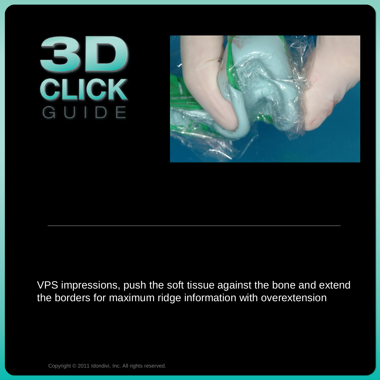## **BIDE**



## VPS impressions, push the soft tissue against the bone and extend the borders for maximum ridge information with overextension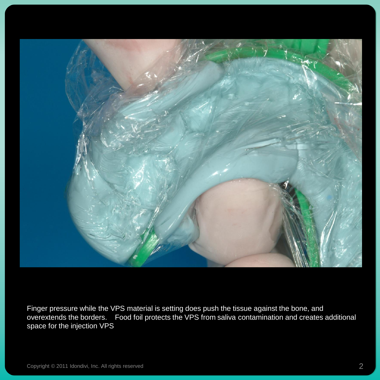

Finger pressure while the VPS material is setting does push the tissue against the bone, and overextends the borders. Food foil protects the VPS from saliva contamination and creates additional space for the injection VPS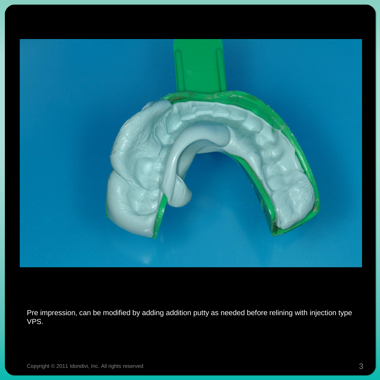

Pre impression, can be modified by adding addition putty as needed before relining with injection type VPS.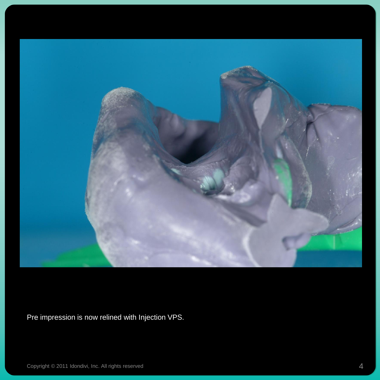

Pre impression is now relined with Injection VPS.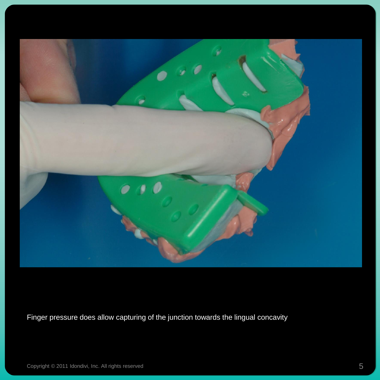

Finger pressure does allow capturing of the junction towards the lingual concavity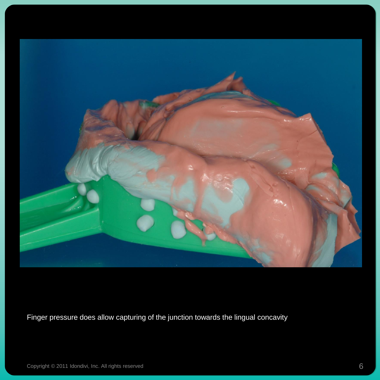

Finger pressure does allow capturing of the junction towards the lingual concavity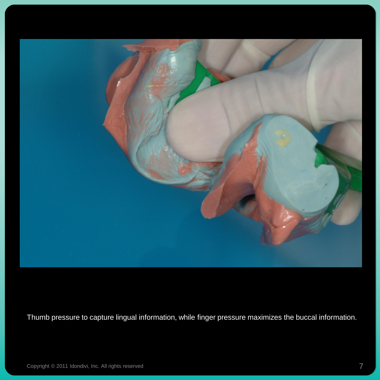

Thumb pressure to capture lingual information, while finger pressure maximizes the buccal information.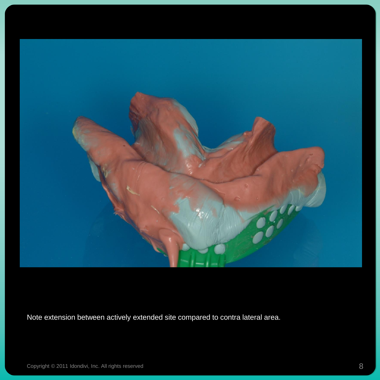

Note extension between actively extended site compared to contra lateral area.